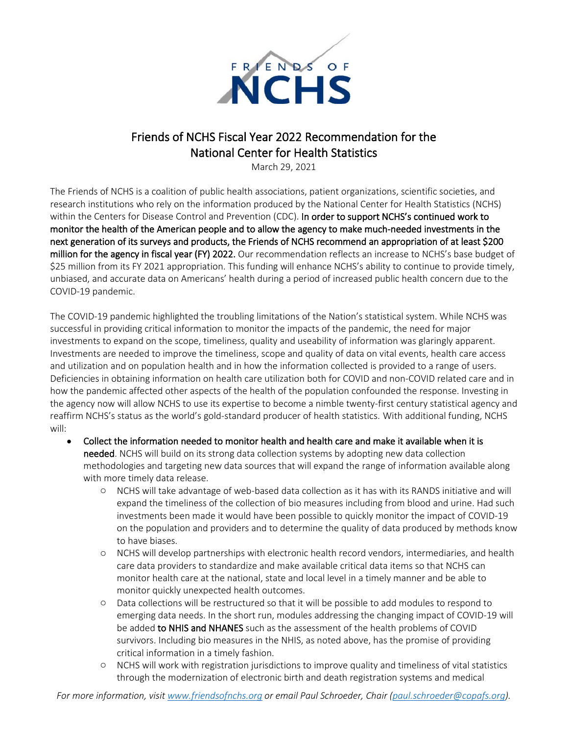

## Friends of NCHS Fiscal Year 2022 Recommendation for the National Center for Health Statistics

March 29, 2021

The Friends of NCHS is a coalition of public health associations, patient organizations, scientific societies, and research institutions who rely on the information produced by the National Center for Health Statistics (NCHS) within the Centers for Disease Control and Prevention (CDC). In order to support NCHS's continued work to monitor the health of the American people and to allow the agency to make much-needed investments in the next generation of its surveys and products, the Friends of NCHS recommend an appropriation of at least \$200 million for the agency in fiscal year (FY) 2022. Our recommendation reflects an increase to NCHS's base budget of \$25 million from its FY 2021 appropriation. This funding will enhance NCHS's ability to continue to provide timely, unbiased, and accurate data on Americans' health during a period of increased public health concern due to the COVID-19 pandemic.

The COVID-19 pandemic highlighted the troubling limitations of the Nation's statistical system. While NCHS was successful in providing critical information to monitor the impacts of the pandemic, the need for major investments to expand on the scope, timeliness, quality and useability of information was glaringly apparent. Investments are needed to improve the timeliness, scope and quality of data on vital events, health care access and utilization and on population health and in how the information collected is provided to a range of users. Deficiencies in obtaining information on health care utilization both for COVID and non-COVID related care and in how the pandemic affected other aspects of the health of the population confounded the response. Investing in the agency now will allow NCHS to use its expertise to become a nimble twenty-first century statistical agency and reaffirm NCHS's status as the world's gold-standard producer of health statistics. With additional funding, NCHS will:

- Collect the information needed to monitor health and health care and make it available when it is needed. NCHS will build on its strong data collection systems by adopting new data collection methodologies and targeting new data sources that will expand the range of information available along with more timely data release.
	- o NCHS will take advantage of web-based data collection as it has with its RANDS initiative and will expand the timeliness of the collection of bio measures including from blood and urine. Had such investments been made it would have been possible to quickly monitor the impact of COVID-19 on the population and providers and to determine the quality of data produced by methods know to have biases.
	- o NCHS will develop partnerships with electronic health record vendors, intermediaries, and health care data providers to standardize and make available critical data items so that NCHS can monitor health care at the national, state and local level in a timely manner and be able to monitor quickly unexpected health outcomes.
	- o Data collections will be restructured so that it will be possible to add modules to respond to emerging data needs. In the short run, modules addressing the changing impact of COVID-19 will be added to NHIS and NHANES such as the assessment of the health problems of COVID survivors. Including bio measures in the NHIS, as noted above, has the promise of providing critical information in a timely fashion.
	- o NCHS will work with registration jurisdictions to improve quality and timeliness of vital statistics through the modernization of electronic birth and death registration systems and medical

*For more information, visi[t www.friendsofnchs.org](http://www.friendsofnchs.org/) or email Paul Schroeder, Chair [\(paul.schroeder@copafs.org\)](mailto:paul.schroeder@copafs.org).*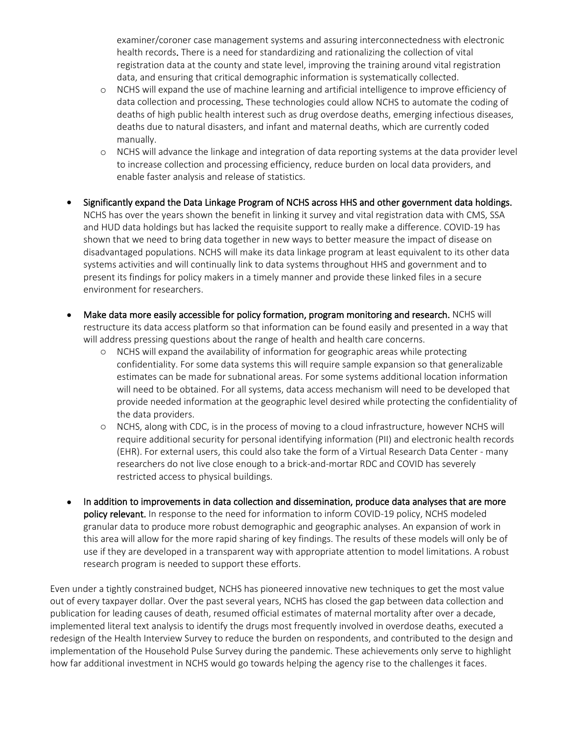examiner/coroner case management systems and assuring interconnectedness with electronic health records. There is a need for standardizing and rationalizing the collection of vital registration data at the county and state level, improving the training around vital registration data, and ensuring that critical demographic information is systematically collected.

- o NCHS will expand the use of machine learning and artificial intelligence to improve efficiency of data collection and processing. These technologies could allow NCHS to automate the coding of deaths of high public health interest such as drug overdose deaths, emerging infectious diseases, deaths due to natural disasters, and infant and maternal deaths, which are currently coded manually.
- o NCHS will advance the linkage and integration of data reporting systems at the data provider level to increase collection and processing efficiency, reduce burden on local data providers, and enable faster analysis and release of statistics.
- Significantly expand the Data Linkage Program of NCHS across HHS and other government data holdings. NCHS has over the years shown the benefit in linking it survey and vital registration data with CMS, SSA and HUD data holdings but has lacked the requisite support to really make a difference. COVID-19 has shown that we need to bring data together in new ways to better measure the impact of disease on disadvantaged populations. NCHS will make its data linkage program at least equivalent to its other data systems activities and will continually link to data systems throughout HHS and government and to present its findings for policy makers in a timely manner and provide these linked files in a secure environment for researchers.
- Make data more easily accessible for policy formation, program monitoring and research. NCHS will restructure its data access platform so that information can be found easily and presented in a way that will address pressing questions about the range of health and health care concerns.
	- o NCHS will expand the availability of information for geographic areas while protecting confidentiality. For some data systems this will require sample expansion so that generalizable estimates can be made for subnational areas. For some systems additional location information will need to be obtained. For all systems, data access mechanism will need to be developed that provide needed information at the geographic level desired while protecting the confidentiality of the data providers.
	- o NCHS, along with CDC, is in the process of moving to a cloud infrastructure, however NCHS will require additional security for personal identifying information (PII) and electronic health records (EHR). For external users, this could also take the form of a Virtual Research Data Center - many researchers do not live close enough to a brick-and-mortar RDC and COVID has severely restricted access to physical buildings.
- In addition to improvements in data collection and dissemination, produce data analyses that are more policy relevant. In response to the need for information to inform COVID-19 policy, NCHS modeled granular data to produce more robust demographic and geographic analyses. An expansion of work in this area will allow for the more rapid sharing of key findings. The results of these models will only be of use if they are developed in a transparent way with appropriate attention to model limitations. A robust research program is needed to support these efforts.

Even under a tightly constrained budget, NCHS has pioneered innovative new techniques to get the most value out of every taxpayer dollar. Over the past several years, NCHS has closed the gap between data collection and publication for leading causes of death, resumed official estimates of maternal mortality after over a decade, implemented literal text analysis to identify the drugs most frequently involved in overdose deaths, executed a redesign of the Health Interview Survey to reduce the burden on respondents, and contributed to the design and implementation of the Household Pulse Survey during the pandemic. These achievements only serve to highlight how far additional investment in NCHS would go towards helping the agency rise to the challenges it faces.